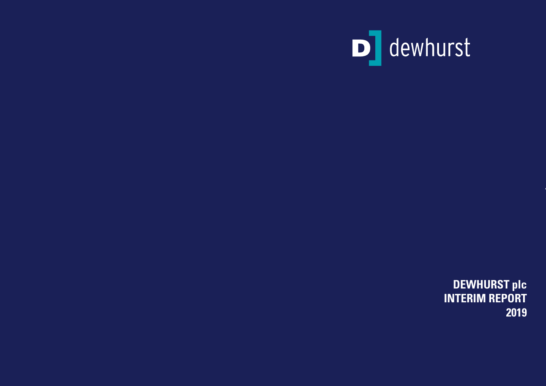

**DEWHURST plc INTERIM REPORT 2019**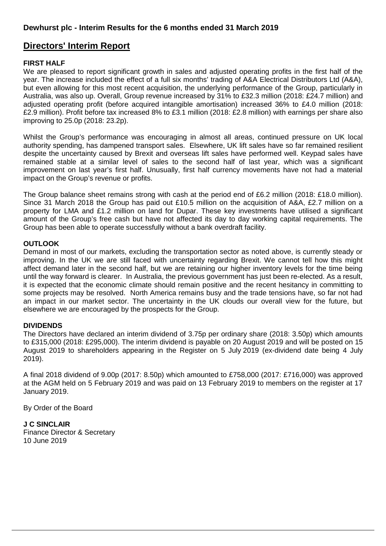## **Directors' Interim Report**

## **FIRST HALF**

We are pleased to report significant growth in sales and adjusted operating profits in the first half of the year. The increase included the effect of a full six months' trading of A&A Electrical Distributors Ltd (A&A), but even allowing for this most recent acquisition, the underlying performance of the Group, particularly in Australia, was also up. Overall, Group revenue increased by 31% to £32.3 million (2018: £24.7 million) and adjusted operating profit (before acquired intangible amortisation) increased 36% to £4.0 million (2018: £2.9 million). Profit before tax increased 8% to £3.1 million (2018: £2.8 million) with earnings per share also improving to 25.0p (2018: 23.2p).

Whilst the Group's performance was encouraging in almost all areas, continued pressure on UK local authority spending, has dampened transport sales. Elsewhere, UK lift sales have so far remained resilient despite the uncertainty caused by Brexit and overseas lift sales have performed well. Keypad sales have remained stable at a similar level of sales to the second half of last year, which was a significant improvement on last year's first half. Unusually, first half currency movements have not had a material impact on the Group's revenue or profits.

The Group balance sheet remains strong with cash at the period end of £6.2 million (2018: £18.0 million). Since 31 March 2018 the Group has paid out £10.5 million on the acquisition of A&A, £2.7 million on a property for LMA and £1.2 million on land for Dupar. These key investments have utilised a significant amount of the Group's free cash but have not affected its day to day working capital requirements. The Group has been able to operate successfully without a bank overdraft facility.

## **OUTLOOK**

Demand in most of our markets, excluding the transportation sector as noted above, is currently steady or improving. In the UK we are still faced with uncertainty regarding Brexit. We cannot tell how this might affect demand later in the second half, but we are retaining our higher inventory levels for the time being until the way forward is clearer. In Australia, the previous government has just been re-elected. As a result, it is expected that the economic climate should remain positive and the recent hesitancy in committing to some projects may be resolved. North America remains busy and the trade tensions have, so far not had an impact in our market sector. The uncertainty in the UK clouds our overall view for the future, but elsewhere we are encouraged by the prospects for the Group.

## **DIVIDENDS**

The Directors have declared an interim dividend of 3.75p per ordinary share (2018: 3.50p) which amounts to £315,000 (2018: £295,000). The interim dividend is payable on 20 August 2019 and will be posted on 15 August 2019 to shareholders appearing in the Register on 5 July 2019 (ex-dividend date being 4 July 2019).

A final 2018 dividend of 9.00p (2017: 8.50p) which amounted to £758,000 (2017: £716,000) was approved at the AGM held on 5 February 2019 and was paid on 13 February 2019 to members on the register at 17 January 2019.

By Order of the Board

**J C SINCLAIR**  Finance Director & Secretary

10 June 2019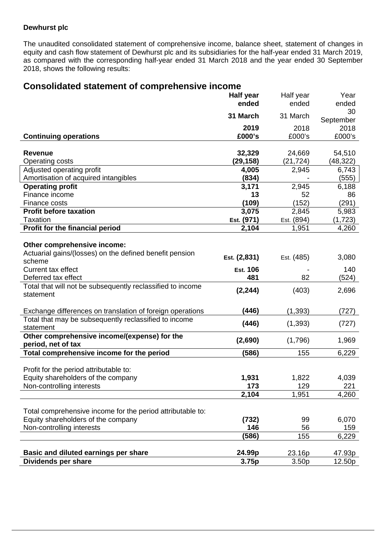## **Dewhurst plc**

The unaudited consolidated statement of comprehensive income, balance sheet, statement of changes in equity and cash flow statement of Dewhurst plc and its subsidiaries for the half-year ended 31 March 2019, as compared with the corresponding half-year ended 31 March 2018 and the year ended 30 September 2018, shows the following results:

## **Consolidated statement of comprehensive income**

|                                                                    | <b>Half year</b> | Half year         | Year            |
|--------------------------------------------------------------------|------------------|-------------------|-----------------|
|                                                                    | ended            | ended             | ended           |
|                                                                    | 31 March         | 31 March          | 30<br>September |
|                                                                    | 2019             | 2018              | 2018            |
| <b>Continuing operations</b>                                       | £000's           | £000's            | £000's          |
|                                                                    |                  |                   |                 |
| <b>Revenue</b>                                                     | 32,329           | 24,669            | 54,510          |
| <b>Operating costs</b>                                             | (29, 158)        | (21, 724)         | (48, 322)       |
| Adjusted operating profit                                          | 4,005            | 2,945             | 6,743           |
| Amortisation of acquired intangibles                               | (834)            |                   | (555)           |
| <b>Operating profit</b>                                            | 3,171            | 2,945             | 6,188           |
| Finance income                                                     | 13               | 52                | 86              |
| Finance costs                                                      | (109)            | (152)             | (291)           |
| <b>Profit before taxation</b>                                      | 3,075            | 2,845             | 5,983           |
| <b>Taxation</b>                                                    | Est. (971)       | Est. (894)        | (1, 723)        |
| Profit for the financial period                                    | 2,104            | 1,951             | 4,260           |
|                                                                    |                  |                   |                 |
| Other comprehensive income:                                        |                  |                   |                 |
| Actuarial gains/(losses) on the defined benefit pension            | Est. (2,831)     | Est. (485)        | 3,080           |
| scheme                                                             |                  |                   |                 |
| <b>Current tax effect</b>                                          | <b>Est. 106</b>  |                   | 140             |
| Deferred tax effect                                                | 481              | 82                | (524)           |
| Total that will not be subsequently reclassified to income         | (2, 244)         | (403)             | 2,696           |
| statement                                                          |                  |                   |                 |
| Exchange differences on translation of foreign operations          | (446)            | (1, 393)          | (727)           |
| Total that may be subsequently reclassified to income              | (446)            | (1, 393)          | (727)           |
| statement                                                          |                  |                   |                 |
| Other comprehensive income/(expense) for the<br>period, net of tax | (2,690)          | (1,796)           | 1,969           |
| Total comprehensive income for the period                          | (586)            | 155               | 6,229           |
|                                                                    |                  |                   |                 |
| Profit for the period attributable to:                             |                  |                   |                 |
| Equity shareholders of the company                                 | 1,931            | 1,822             | 4,039           |
| Non-controlling interests                                          | 173              | 129               | 221             |
|                                                                    | 2,104            | 1,951             | 4,260           |
|                                                                    |                  |                   |                 |
| Total comprehensive income for the period attributable to:         |                  |                   |                 |
| Equity shareholders of the company                                 | (732)            | 99                | 6,070           |
| Non-controlling interests                                          | 146              | 56                | 159             |
|                                                                    | (586)            | 155               | 6,229           |
|                                                                    |                  |                   |                 |
| Basic and diluted earnings per share                               | 24.99p           | 23.16p            | 47.93p          |
| <b>Dividends per share</b>                                         | 3.75p            | 3.50 <sub>p</sub> | 12.50p          |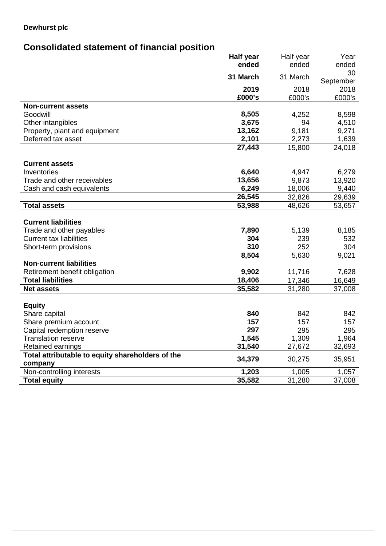## **Dewhurst plc**

# **Consolidated statement of financial position**

|                                                                       | <b>Half year</b> | Half year        | Year      |
|-----------------------------------------------------------------------|------------------|------------------|-----------|
|                                                                       | ended            | ended            | ended     |
|                                                                       | 31 March         | 31 March         | 30        |
|                                                                       |                  |                  | September |
|                                                                       | 2019             | 2018             | 2018      |
|                                                                       | £000's           | £000's           | £000's    |
| <b>Non-current assets</b>                                             |                  |                  |           |
| Goodwill                                                              | 8,505            | 4,252            | 8,598     |
| Other intangibles                                                     | 3,675            | 94               | 4,510     |
| Property, plant and equipment                                         | 13,162           | 9,181            | 9,271     |
| Deferred tax asset                                                    | 2,101            | 2,273            | 1,639     |
|                                                                       | 27,443           | 15,800           | 24,018    |
| <b>Current assets</b>                                                 |                  |                  |           |
| Inventories                                                           |                  |                  | 6,279     |
| Trade and other receivables                                           | 6,640            | 4,947            |           |
|                                                                       | 13,656           | 9,873            | 13,920    |
| Cash and cash equivalents                                             | 6,249            | 18,006           | 9,440     |
|                                                                       | 26,545           | 32,826           | 29,639    |
| <b>Total assets</b>                                                   | 53,988           | 48,626           | 53,657    |
| <b>Current liabilities</b>                                            |                  |                  |           |
| Trade and other payables                                              | 7,890            | 5,139            | 8,185     |
| <b>Current tax liabilities</b>                                        | 304              | 239              | 532       |
| Short-term provisions                                                 | 310              | 252              | 304       |
|                                                                       | 8,504            | 5,630            | 9,021     |
| <b>Non-current liabilities</b>                                        |                  |                  |           |
|                                                                       | 9,902            |                  | 7,628     |
| Retirement benefit obligation<br><b>Total liabilities</b>             | 18,406           | 11,716<br>17,346 |           |
|                                                                       |                  |                  | 16,649    |
| <b>Net assets</b>                                                     | 35,582           | 31,280           | 37,008    |
| <b>Equity</b>                                                         |                  |                  |           |
| Share capital                                                         | 840              | 842              | 842       |
| Share premium account                                                 | 157              | 157              | 157       |
| Capital redemption reserve                                            | 297              | 295              | 295       |
| <b>Translation reserve</b>                                            | 1,545            | 1,309            | 1,964     |
|                                                                       | 31,540           |                  |           |
| Retained earnings<br>Total attributable to equity shareholders of the |                  | 27,672           | 32,693    |
| company                                                               | 34,379           | 30,275           | 35,951    |
| Non-controlling interests                                             | 1,203            | 1,005            | 1,057     |
| <b>Total equity</b>                                                   | 35,582           | 31,280           | 37,008    |
|                                                                       |                  |                  |           |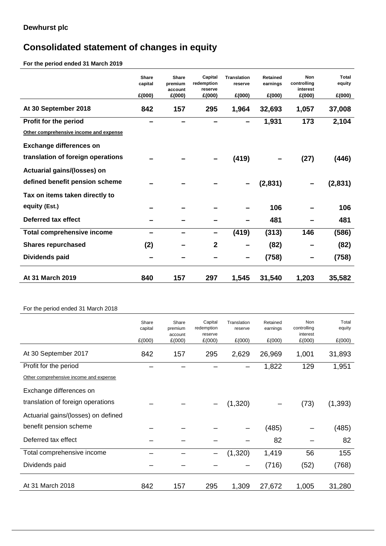# **Consolidated statement of changes in equity**

**For the period ended 31 March 2019** 

|                                        | <b>Share</b><br>capital<br>£(000) | <b>Share</b><br>premium<br>account<br>£(000) | Capital<br>redemption<br>reserve<br>£(000) | <b>Translation</b><br>reserve<br>£(000) | <b>Retained</b><br>earnings<br>£(000) | Non<br>controlling<br>interest<br>£(000) | <b>Total</b><br>equity<br>£(000) |
|----------------------------------------|-----------------------------------|----------------------------------------------|--------------------------------------------|-----------------------------------------|---------------------------------------|------------------------------------------|----------------------------------|
| At 30 September 2018                   | 842                               | 157                                          | 295                                        | 1,964                                   | 32,693                                | 1,057                                    | 37,008                           |
| Profit for the period                  |                                   |                                              |                                            |                                         | 1,931                                 | 173                                      | 2,104                            |
| Other comprehensive income and expense |                                   |                                              |                                            |                                         |                                       |                                          |                                  |
| <b>Exchange differences on</b>         |                                   |                                              |                                            |                                         |                                       |                                          |                                  |
| translation of foreign operations      |                                   |                                              |                                            | (419)                                   |                                       | (27)                                     | (446)                            |
| Actuarial gains/(losses) on            |                                   |                                              |                                            |                                         |                                       |                                          |                                  |
| defined benefit pension scheme         |                                   |                                              |                                            |                                         | (2,831)                               |                                          | (2,831)                          |
| Tax on items taken directly to         |                                   |                                              |                                            |                                         |                                       |                                          |                                  |
| equity (Est.)                          |                                   |                                              |                                            |                                         | 106                                   |                                          | 106                              |
| Deferred tax effect                    |                                   |                                              |                                            |                                         | 481                                   |                                          | 481                              |
| <b>Total comprehensive income</b>      |                                   |                                              | -                                          | (419)                                   | (313)                                 | 146                                      | (586)                            |
| <b>Shares repurchased</b>              | (2)                               |                                              | $\overline{2}$                             |                                         | (82)                                  |                                          | (82)                             |
| Dividends paid                         |                                   |                                              |                                            |                                         | (758)                                 |                                          | (758)                            |
| At 31 March 2019                       | 840                               | 157                                          | 297                                        | 1,545                                   | 31,540                                | 1,203                                    | 35,582                           |
|                                        |                                   |                                              |                                            |                                         |                                       |                                          |                                  |
| For the period ended 31 March 2018     |                                   |                                              |                                            |                                         |                                       |                                          |                                  |
|                                        | Share<br>capital                  | Share<br>premium                             | Capital<br>redemption                      | Translation<br>reserve                  | Retained<br>earnings                  | Non<br>controlling                       | Total<br>equity                  |
|                                        | £(000)                            | account<br>£(000)                            | reserve<br>£(000)                          | £(000)                                  | £(000)                                | interest<br>£(000)                       | £(000)                           |
| At 30 September 2017                   | 842                               | 157                                          | 295                                        | 2,629                                   | 26,969                                | 1,001                                    | 31,893                           |

| Other comprehensive income and expense |     |     |     |          |        |       |          |
|----------------------------------------|-----|-----|-----|----------|--------|-------|----------|
| Exchange differences on                |     |     |     |          |        |       |          |
| translation of foreign operations      |     |     |     | (1,320)  |        | (73)  | (1, 393) |
| Actuarial gains/(losses) on defined    |     |     |     |          |        |       |          |
| benefit pension scheme                 |     |     |     |          | (485)  |       | (485)    |
| Deferred tax effect                    |     |     |     |          | 82     |       | 82       |
| Total comprehensive income             |     |     | —   | (1, 320) | 1,419  | 56    | 155      |
| Dividends paid                         |     |     |     |          | (716)  | (52)  | (768)    |
|                                        |     |     |     |          |        |       |          |
| At 31 March 2018                       | 842 | 157 | 295 | 1,309    | 27,672 | 1,005 | 31,280   |

Profit for the period – – – – 1,822 129 1,951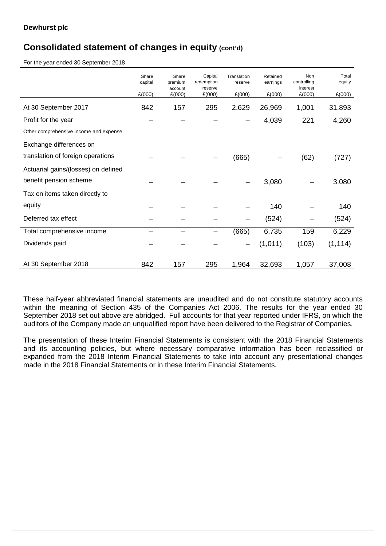## **Consolidated statement of changes in equity (cont'd)**

For the year ended 30 September 2018

|                                        | Share<br>capital<br>£(000) | Share<br>premium<br>account<br>£(000) | Capital<br>redemption<br>reserve<br>£(000) | Translation<br>reserve<br>£(000) | Retained<br>earnings<br>£(000) | Non<br>controlling<br>interest<br>£(000) | Total<br>equity<br>£(000) |
|----------------------------------------|----------------------------|---------------------------------------|--------------------------------------------|----------------------------------|--------------------------------|------------------------------------------|---------------------------|
| At 30 September 2017                   | 842                        | 157                                   | 295                                        | 2,629                            | 26,969                         | 1,001                                    | 31,893                    |
| Profit for the year                    |                            |                                       |                                            |                                  | 4,039                          | 221                                      | 4,260                     |
| Other comprehensive income and expense |                            |                                       |                                            |                                  |                                |                                          |                           |
| Exchange differences on                |                            |                                       |                                            |                                  |                                |                                          |                           |
| translation of foreign operations      |                            |                                       |                                            | (665)                            |                                | (62)                                     | (727)                     |
| Actuarial gains/(losses) on defined    |                            |                                       |                                            |                                  |                                |                                          |                           |
| benefit pension scheme                 |                            |                                       |                                            |                                  | 3,080                          |                                          | 3,080                     |
| Tax on items taken directly to         |                            |                                       |                                            |                                  |                                |                                          |                           |
| equity                                 |                            |                                       |                                            |                                  | 140                            |                                          | 140                       |
| Deferred tax effect                    |                            |                                       |                                            |                                  | (524)                          |                                          | (524)                     |
| Total comprehensive income             |                            |                                       |                                            | (665)                            | 6,735                          | 159                                      | 6,229                     |
| Dividends paid                         |                            |                                       |                                            |                                  | (1,011)                        | (103)                                    | (1, 114)                  |
| At 30 September 2018                   | 842                        | 157                                   | 295                                        | 1,964                            | 32,693                         | 1,057                                    | 37,008                    |

These half-year abbreviated financial statements are unaudited and do not constitute statutory accounts within the meaning of Section 435 of the Companies Act 2006. The results for the year ended 30 September 2018 set out above are abridged. Full accounts for that year reported under IFRS, on which the auditors of the Company made an unqualified report have been delivered to the Registrar of Companies.

The presentation of these Interim Financial Statements is consistent with the 2018 Financial Statements and its accounting policies, but where necessary comparative information has been reclassified or expanded from the 2018 Interim Financial Statements to take into account any presentational changes made in the 2018 Financial Statements or in these Interim Financial Statements.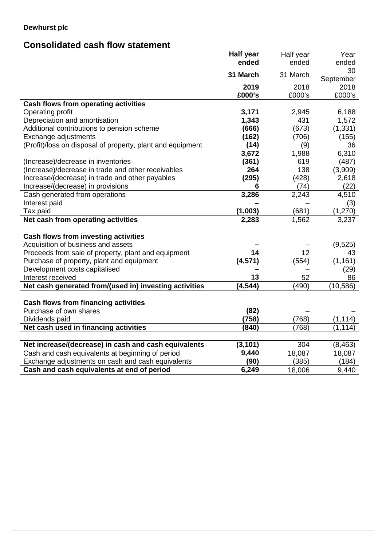## **Dewhurst plc**

# **Consolidated cash flow statement**

|                                                            | Half year | Half year | Year            |
|------------------------------------------------------------|-----------|-----------|-----------------|
|                                                            | ended     | ended     | ended           |
|                                                            | 31 March  | 31 March  | 30<br>September |
|                                                            | 2019      | 2018      | 2018            |
|                                                            | £000's    | £000's    | £000's          |
| <b>Cash flows from operating activities</b>                |           |           |                 |
| Operating profit                                           | 3,171     | 2,945     | 6,188           |
| Depreciation and amortisation                              | 1,343     | 431       | 1,572           |
| Additional contributions to pension scheme                 | (666)     | (673)     | (1, 331)        |
| Exchange adjustments                                       | (162)     | (706)     | (155)           |
| (Profit)/loss on disposal of property, plant and equipment | (14)      | (9)       | 36              |
|                                                            | 3,672     | 1,988     | 6,310           |
| (Increase)/decrease in inventories                         | (361)     | 619       | (487)           |
| (Increase)/decrease in trade and other receivables         | 264       | 138       | (3,909)         |
| Increase/(decrease) in trade and other payables            | (295)     | (428)     | 2,618           |
| Increase/(decrease) in provisions                          | 6         | (74)      | (22)            |
| Cash generated from operations                             | 3,286     | 2,243     | 4,510           |
| Interest paid                                              |           |           | (3)             |
| Tax paid                                                   | (1,003)   | (681)     | (1,270)         |
| Net cash from operating activities                         | 2,283     | 1,562     | 3,237           |
|                                                            |           |           |                 |
| Cash flows from investing activities                       |           |           |                 |
| Acquisition of business and assets                         |           |           | (9,525)         |
| Proceeds from sale of property, plant and equipment        | 14        | 12        | 43              |
| Purchase of property, plant and equipment                  | (4, 571)  | (554)     | (1, 161)        |
| Development costs capitalised                              |           |           | (29)            |
| Interest received                                          | 13        | 52        | 86              |
| Net cash generated from/(used in) investing activities     | (4, 544)  | (490)     | (10, 586)       |
|                                                            |           |           |                 |
| <b>Cash flows from financing activities</b>                |           |           |                 |
| Purchase of own shares                                     | (82)      |           |                 |
| Dividends paid                                             | (758)     | (768)     | (1, 114)        |
| Net cash used in financing activities                      | (840)     | (768)     | (1, 114)        |
|                                                            |           |           |                 |
| Net increase/(decrease) in cash and cash equivalents       | (3, 101)  | 304       | (8, 463)        |
| Cash and cash equivalents at beginning of period           | 9,440     | 18,087    | 18,087          |
| Exchange adjustments on cash and cash equivalents          | (90)      | (385)     | (184)           |
| Cash and cash equivalents at end of period                 | 6,249     | 18,006    | 9,440           |